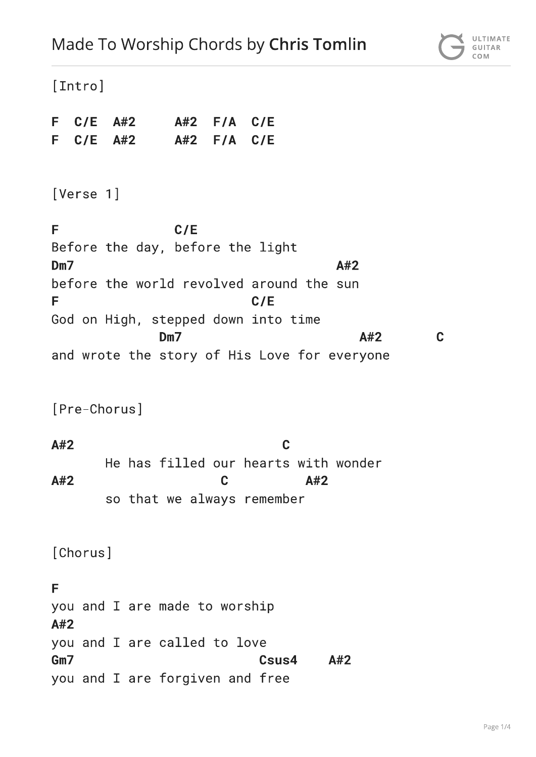[Intro]  $C/E$  A#2 F.  $A#2$  $F/A$  $C/E$ F.  $C/E$  $A#2$  $A#2$  $F/A$  $C/E$ [Verse 1] F  $C/E$ Before the day, before the light  $Dm<sub>7</sub>$  $A#2$ before the world revolved around the sun E  $C/E$ God on High, stepped down into time  $Dm<sub>7</sub>$  $\mathbf C$  $A#2$ and wrote the story of His Love for everyone [Pre-Chorus]  $\mathbf C$  $A#2$ He has filled our hearts with wonder  $\overline{C}$  $A#2$  $A#2$ so that we always remember [Chorus] F you and I are made to worship  $A#2$ you and I are called to love Gm7  $A#2$ Csus4 you and I are forgiven and free

ULTIMATE

GUITAR COM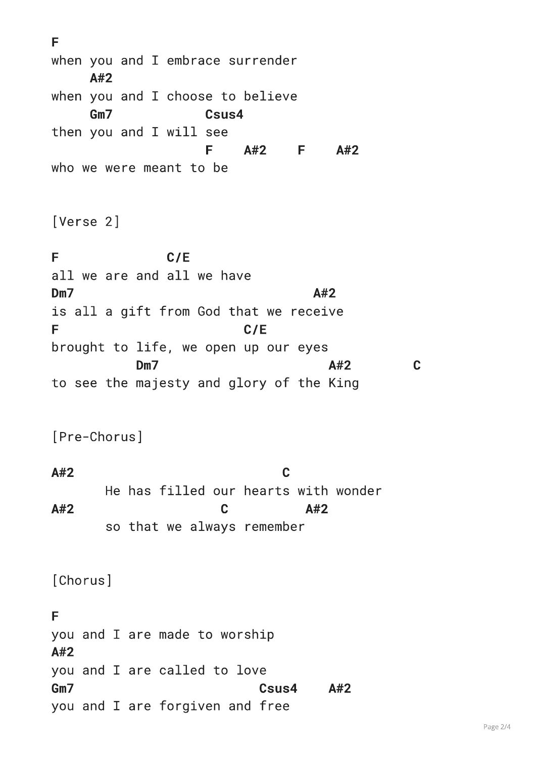F when you and I embrace surrender  $A#2$ when you and I choose to believe  $GmZ$ Csus4 then you and I will see F  $A#2$  $F \qquad A#2$ who we were meant to be [Verse 2] E  $C/E$ all we are and all we have  $Dm<sub>7</sub>$  $A#2$ is all a gift from God that we receive F  $C/E$ brought to life, we open up our eyes Dm7  $A#2$  $\mathbf C$ to see the majesty and glory of the King [Pre-Chorus]  $\mathbf C$  $A#2$ He has filled our hearts with wonder  $A#2$  $\overline{C}$  $A#2$ so that we always remember [Chorus] E you and I are made to worship  $A#2$ you and I are called to love  $GmZ$ Csus4  $A#2$ you and I are forgiven and free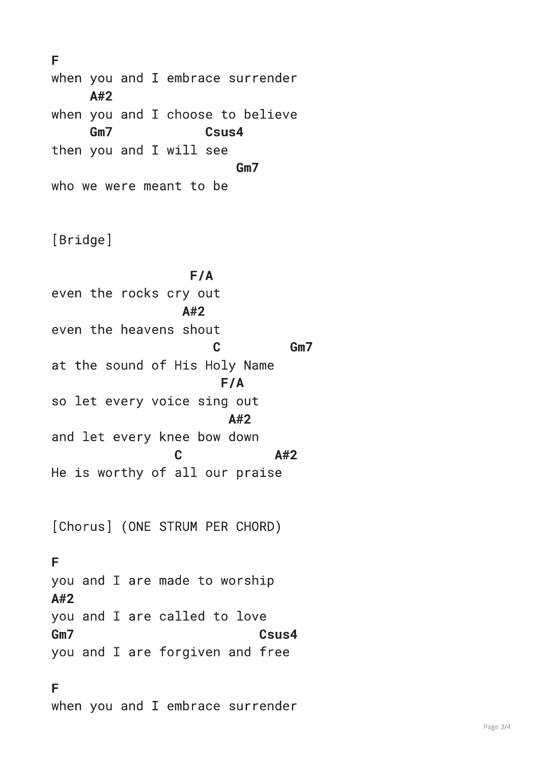F when you and I embrace surrender  $\Delta$ #2 when you and I choose to believe  $Gm7$ Csus4 then you and I will see  $Gm7$ who we were meant to be

[Bridge]

 $F/A$ even the rocks cry out  $A#2$ even the heavens shout C Gm7 at the sound of His Holy Name  $F/A$ so let every voice sing out  $A#2$ and let every knee bow down  $\mathbf C$  $A#2$ He is worthy of all our praise

[Chorus] (ONE STRUM PER CHORD)

## F

you and I are made to worship  $A#2$ you and I are called to love  $Gm7$ Csus4 you and I are forgiven and free

F when you and I embrace surrender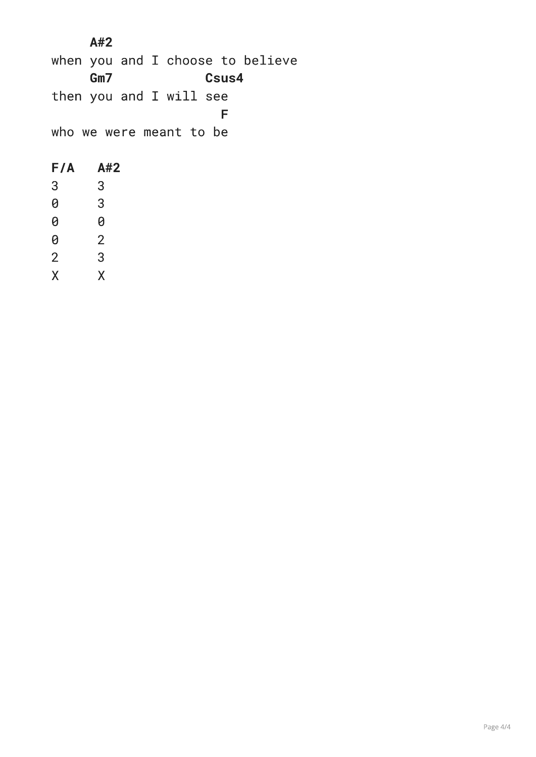$A#2$ when you and I choose to believe  $Gm7$ Csus4 then you and I will see F. who we were meant to be  $F/A$  $A#2$  $\overline{3}$  $\overline{3}$  $\theta$  $\mathbf{3}$  $\theta$  $\theta$  $\overline{2}$  $\theta$  $\overline{2}$  $\overline{3}$ 

 $\overline{X}$  $\mathsf{X}$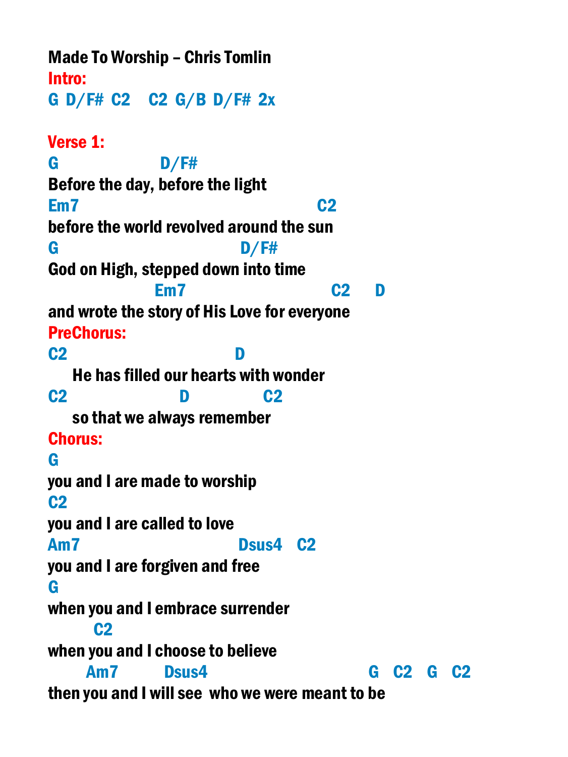Made To Worship – Chris Tomlin Intro: G D/F# C2 C2 G/B D/F# 2x Verse 1: G D/F# Before the day, before the light Em7 C2 before the world revolved around the sun G D/F# God on High, stepped down into time Em7 C2 D and wrote the story of His Love for everyone PreChorus: C2 D He has filled our hearts with wonder C2 D C2 so that we always remember Chorus: G you and I are made to worship C2 you and I are called to love Am7 Dsus4 C2 you and I are forgiven and free G when you and I embrace surrender C2 when you and I choose to believe Am7 Dsus4 G C2 G C2 then you and I will see who we were meant to be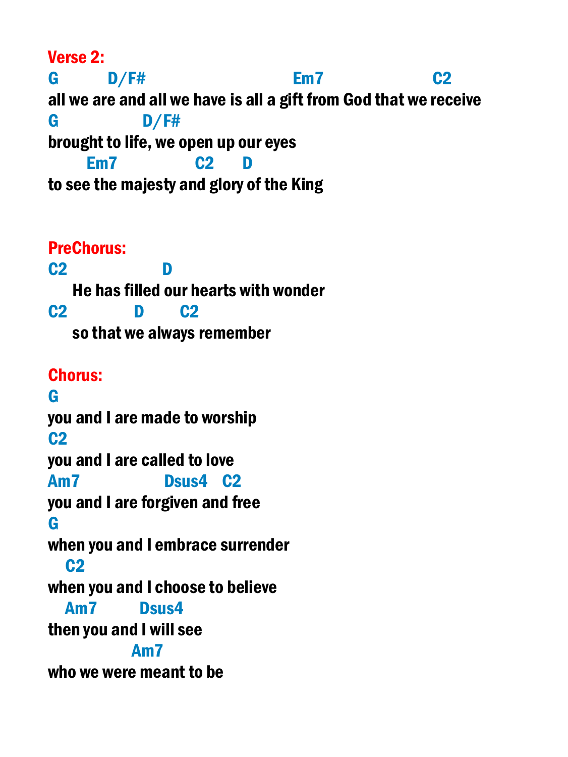Verse 2:

G D/F# Em7 C2 all we are and all we have is all a gift from God that we receive G D/F# brought to life, we open up our eyes Em7 C2 D to see the majesty and glory of the King

PreChorus: C2 D He has filled our hearts with wonder C2 D C2 so that we always remember Chorus: G you and I are made to worship  $C<sub>2</sub>$ you and I are called to love Am7 Dsus4 C2 you and I are forgiven and free G when you and I embrace surrender C2 when you and I choose to believe Am7 Dsus4 then you and I will see Am7 who we were meant to be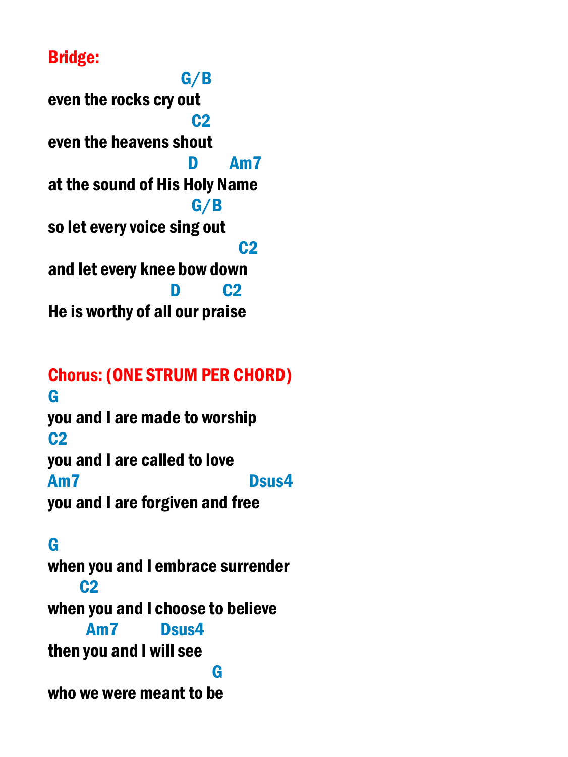## Bridge:

 G/B even the rocks cry out **C<sub>2</sub>** C<sub>2</sub> even the heavens shout D Am7 at the sound of His Holy Name G/B so let every voice sing out **C2 C2** and let every knee bow down **D** C<sub>2</sub> He is worthy of all our praise

Chorus: (ONE STRUM PER CHORD) G you and I are made to worship  $C<sub>2</sub>$ you and I are called to love Am7 Dsus4 you and I are forgiven and free

G when you and I embrace surrender C2 when you and I choose to believe Am7 Dsus4 then you and I will see **Grand Control Control Control Control** who we were meant to be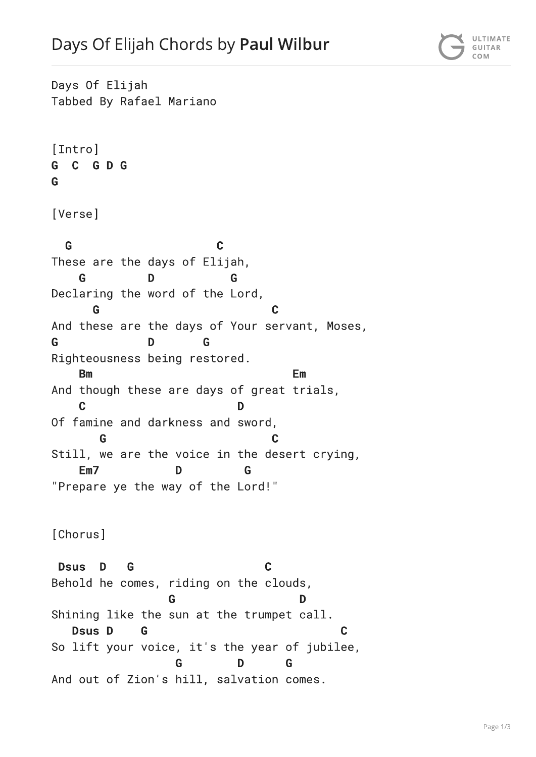Days Of Elijah Tabbed By Rafael Mariano [Intro] C G D G G. G [Verse] G  $\mathbf C$ These are the days of Elijah, G Declaring the word of the Lord, G C And these are the days of Your servant, Moses, G D G Righteousness being restored. Em **Bm** And though these are days of great trials,  $\mathbf C$ D Of famine and darkness and sword, Still, we are the voice in the desert crying,  $Em7$ D G "Prepare ye the way of the Lord!" [Chorus] **Dsus**  $\mathbf{D}$ G  $\mathbf c$ Behold he comes, riding on the clouds, Shining like the sun at the trumpet call. **Dsus D** G So lift your voice, it's the year of jubilee, D G G And out of Zion's hill, salvation comes.

Page 1/3

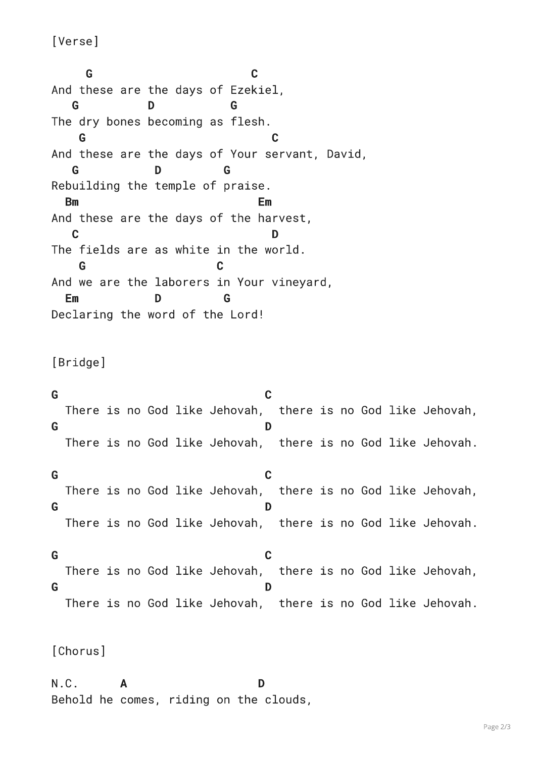[Verse]

G  $\mathbf{C}$ And these are the days of Ezekiel, G. The dry bones becoming as flesh. G And these are the days of Your servant, David, G. D. G Rebuilding the temple of praise. **Bm** Em And these are the days of the harvest,  $\mathbf C$ D The fields are as white in the world. G And we are the laborers in Your vineyard, Em Declaring the word of the Lord!

[Bridge]

G.  $\mathbf c$ There is no God like Jehovah, there is no God like Jehovah, G D There is no God like Jehovah, there is no God like Jehovah.

G  $\mathbf C$ There is no God like Jehovah, there is no God like Jehovah, G D There is no God like Jehovah, there is no God like Jehovah.

G  $\mathbf c$ There is no God like Jehovah, there is no God like Jehovah, G D There is no God like Jehovah, there is no God like Jehovah.

[Chorus]

 $N.C.$ D A Behold he comes, riding on the clouds,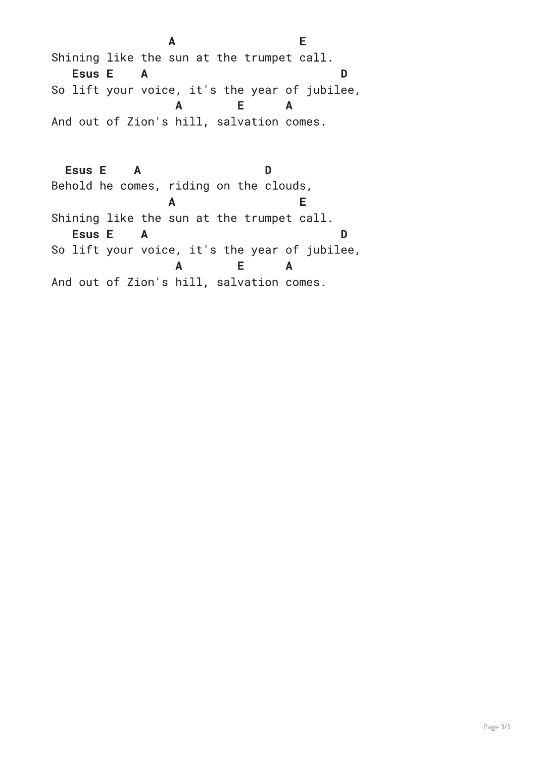E A Shining like the sun at the trumpet call. Esus E A D So lift your voice, it's the year of jubilee,  $\blacktriangle$ E.  $\mathbf{A}$ And out of Zion's hill, salvation comes.

**Esus E** D  $\mathbf{A}$ Behold he comes, riding on the clouds, E.  $\mathsf{A}$ Shining like the sun at the trumpet call. Esus E A D So lift your voice, it's the year of jubilee, E  $\blacktriangle$  $\mathsf{A}$ And out of Zion's hill, salvation comes.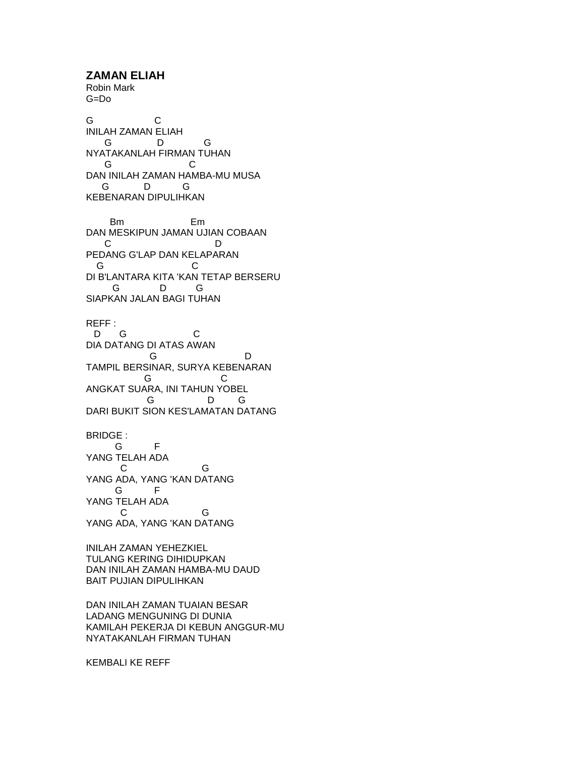**ZAMAN ELIAH** Robin Mark G=Do G C INILAH ZAMAN ELIAH G D G NYATAKANLAH FIRMAN TUHAN G C DAN INILAH ZAMAN HAMBA-MU MUSA G D G KEBENARAN DIPULIHKAN Bm Em DAN MESKIPUN JAMAN UJIAN COBAAN C D PEDANG G'LAP DAN KELAPARAN G C DI B'LANTARA KITA 'KAN TETAP BERSERU G D G SIAPKAN JALAN BAGI TUHAN REFF : D G C DIA DATANG DI ATAS AWAN **G** D TAMPIL BERSINAR, SURYA KEBENARAN **G** C ANGKAT SUARA, INI TAHUN YOBEL G D G DARI BUKIT SION KES'LAMATAN DATANG BRIDGE : G F YANG TELAH ADA C G YANG ADA, YANG 'KAN DATANG G F YANG TELAH ADA C G YANG ADA, YANG 'KAN DATANG INILAH ZAMAN YEHEZKIEL TULANG KERING DIHIDUPKAN DAN INILAH ZAMAN HAMBA-MU DAUD BAIT PUJIAN DIPULIHKAN

DAN INILAH ZAMAN TUAIAN BESAR LADANG MENGUNING DI DUNIA KAMILAH PEKERJA DI KEBUN ANGGUR-MU NYATAKANLAH FIRMAN TUHAN

KEMBALI KE REFF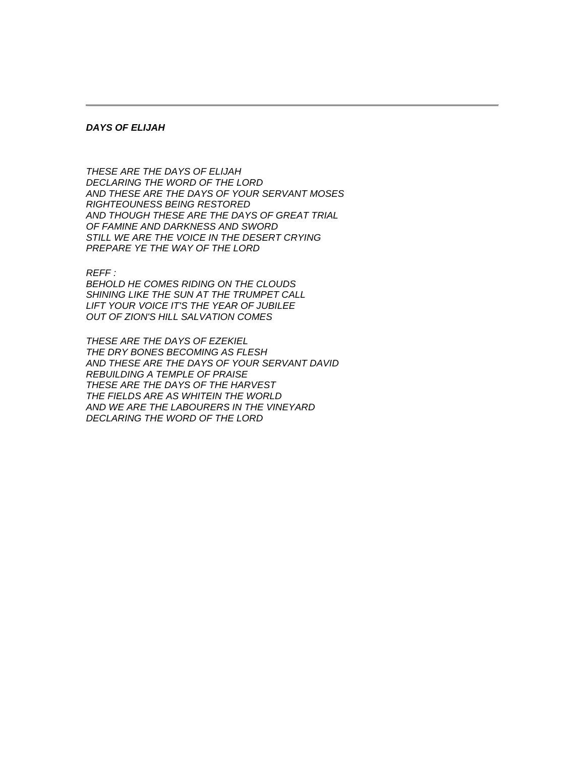## *DAYS OF ELIJAH*

*THESE ARE THE DAYS OF ELIJAH DECLARING THE WORD OF THE LORD AND THESE ARE THE DAYS OF YOUR SERVANT MOSES RIGHTEOUNESS BEING RESTORED AND THOUGH THESE ARE THE DAYS OF GREAT TRIAL OF FAMINE AND DARKNESS AND SWORD STILL WE ARE THE VOICE IN THE DESERT CRYING PREPARE YE THE WAY OF THE LORD*

*REFF :*

*BEHOLD HE COMES RIDING ON THE CLOUDS SHINING LIKE THE SUN AT THE TRUMPET CALL LIFT YOUR VOICE IT'S THE YEAR OF JUBILEE OUT OF ZION'S HILL SALVATION COMES*

*THESE ARE THE DAYS OF EZEKIEL THE DRY BONES BECOMING AS FLESH AND THESE ARE THE DAYS OF YOUR SERVANT DAVID REBUILDING A TEMPLE OF PRAISE THESE ARE THE DAYS OF THE HARVEST THE FIELDS ARE AS WHITEIN THE WORLD AND WE ARE THE LABOURERS IN THE VINEYARD DECLARING THE WORD OF THE LORD*